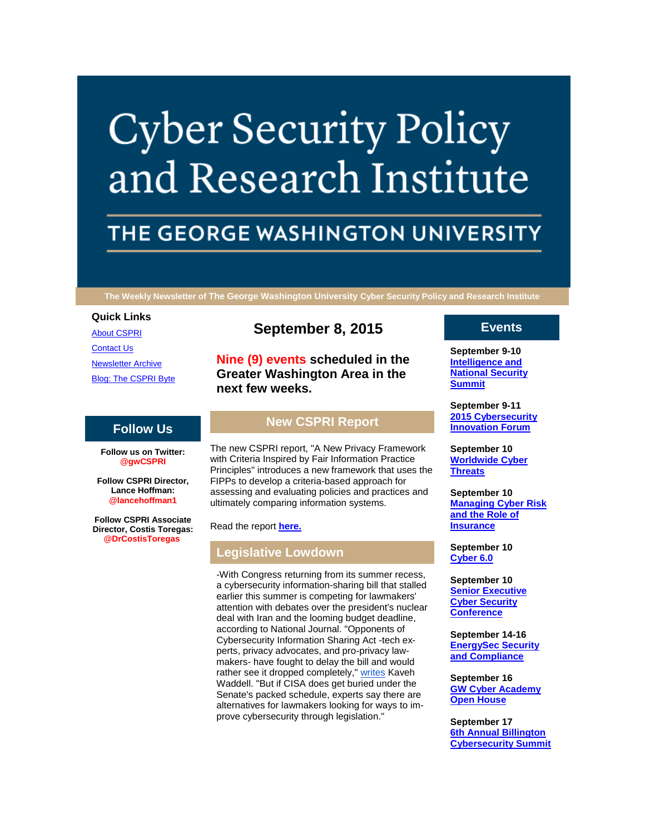# **Cyber Security Policy** and Research Institute

# THE GEORGE WASHINGTON UNIVERSITY

**The Weekly Newsletter of The George Washington University Cyber Security Policy and Research Institute**

#### **Quick Links**

[About CSPRI](http://r20.rs6.net/tn.jsp?e=0013X7msTXQAD1-mV4l_BKKchfhfFDuDIlSZJpd4Djplr72pjf1hec7gvg76B3XatIs6oV6FwJlFZruQJQhz1-RJORL_a2H2UfLxcaaaG_a5BZTAGJ1wStE13Q37QHps71Y) [Contact Us](http://r20.rs6.net/tn.jsp?e=0013X7msTXQAD1-mV4l_BKKchfhfFDuDIlSZJpd4Djplr72pjf1hec7gvg76B3XatIs6oV6FwJlFZruQJQhz1-RJORL_a2H2UfLxcaaaG_a5BYgA-rcrggC7buqABuTaiprY7N7gs4O2jM=) [Newsletter Archive](http://r20.rs6.net/tn.jsp?e=0013X7msTXQAD1-mV4l_BKKchfhfFDuDIlSZJpd4Djplr72pjf1hec7gvg76B3XatIs6oV6FwJlFZruQJQhz1-RJORL_a2H2UfLxcaaaG_a5Bb8BnI7nanpAYk_mu3BnA3skX8v1x51qMo=) [Blog: The CSPRI Byte](http://r20.rs6.net/tn.jsp?e=0013X7msTXQAD1-mV4l_BKKchfhfFDuDIlSZJpd4Djplr72pjf1hec7gvg76B3XatIs6oV6FwJlFZruQJQhz1-RJORL_a2H2UfLxcaaaG_a5BZBH2XJDrpcgmM4n1CR_4vU)

# **Follow Us**

**Follow us on Twitter: @gwCSPRI**

**Follow CSPRI Director, Lance Hoffman: @lancehoffman1**

**Follow CSPRI Associate Director, Costis Toregas: @DrCostisToregas**

# **September 8, 2015**

**Nine (9) events scheduled in the Greater Washington Area in the next few weeks.**

# **New CSPRI Report**

The new CSPRI report, "A New Privacy Framework with Criteria Inspired by Fair Information Practice Principles" introduces a new framework that uses the FIPPs to develop a criteria-based approach for assessing and evaluating policies and practices and ultimately comparing information systems.

Read the report **[here.](http://r20.rs6.net/tn.jsp?e=0013X7msTXQAD1-mV4l_BKKchfhfFDuDIlSZJpd4Djplr72pjf1hec7gvg76B3XatIs6oV6FwJlFZqaN3wZWhQvCtJOFcL2XcNEKaJ8Ck9A3QjoZPa0m0iaZzs5aAZMsklZZyB07B1g28C8CgcMgGVki7Oq1wkncE3n_wP_f5CsYX0BVc_6ycJl8_i_CmHhQUHkL3xBqsZ0KfETpxnx2wudX56DcLqQKbu2wJsdc8ucK-tQ_oBiOCmFDzYxN04_B2CpM5Q2_Y9wP6tnFpgIbGkR2A==)**

## **Legislative Lowdown**

-With Congress returning from its summer recess, a cybersecurity information-sharing bill that stalled earlier this summer is competing for lawmakers' attention with debates over the president's nuclear deal with Iran and the looming budget deadline, according to National Journal. "Opponents of Cybersecurity Information Sharing Act -tech experts, privacy advocates, and pro-privacy lawmakers- have fought to delay the bill and would rather see it dropped completely," [writes](http://r20.rs6.net/tn.jsp?e=0013X7msTXQAD1-mV4l_BKKchfhfFDuDIlSZJpd4Djplr72pjf1hec7gvg76B3XatIs6oV6FwJlFZqDD7xjiCFzL06EprmbJmEYM7myA_4NjcEYiuZc-IwI_qJqompNhl0RhTtEr-KvmnY_3HPY2hNTg3iCpFlldMjuh736YyB8aSHxCkhzWR0m0Y74_cwXZMDBUySRKf5RT49izHdu0HG_wt6rtf-pf7_khonZSc1nDDV4rjEDkKxragZEXvI6z35c) Kaveh Waddell. "But if CISA does get buried under the Senate's packed schedule, experts say there are alternatives for lawmakers looking for ways to improve cybersecurity through legislation."

## **Events**

**September 9-10 [Intelligence and](http://r20.rs6.net/tn.jsp?e=0013X7msTXQAD1-mV4l_BKKchfhfFDuDIlSZJpd4Djplr72pjf1hec7gvg76B3XatIs6oV6FwJlFZruQJQhz1-RJORL_a2H2UfLxcaaaG_a5BYeRGiQV3kfDwshO1YhbXkMwsv3Zws8yjc=)  [National Security](http://r20.rs6.net/tn.jsp?e=0013X7msTXQAD1-mV4l_BKKchfhfFDuDIlSZJpd4Djplr72pjf1hec7gvg76B3XatIs6oV6FwJlFZruQJQhz1-RJORL_a2H2UfLxcaaaG_a5BYeRGiQV3kfDwshO1YhbXkMwsv3Zws8yjc=)  [Summit](http://r20.rs6.net/tn.jsp?e=0013X7msTXQAD1-mV4l_BKKchfhfFDuDIlSZJpd4Djplr72pjf1hec7gvg76B3XatIs6oV6FwJlFZruQJQhz1-RJORL_a2H2UfLxcaaaG_a5BYeRGiQV3kfDwshO1YhbXkMwsv3Zws8yjc=)**

**September 9-11 [2015 Cybersecurity](http://r20.rs6.net/tn.jsp?e=0013X7msTXQAD1-mV4l_BKKchfhfFDuDIlSZJpd4Djplr72pjf1hec7gvg76B3XatIs6oV6FwJlFZruQJQhz1-RJORL_a2H2UfLxcaaaG_a5BYeRGiQV3kfDwshO1YhbXkMwsv3Zws8yjc=)  [Innovation Forum](http://r20.rs6.net/tn.jsp?e=0013X7msTXQAD1-mV4l_BKKchfhfFDuDIlSZJpd4Djplr72pjf1hec7gvg76B3XatIs6oV6FwJlFZruQJQhz1-RJORL_a2H2UfLxcaaaG_a5BYeRGiQV3kfDwshO1YhbXkMwsv3Zws8yjc=)**

**September 10 [Worldwide Cyber](http://r20.rs6.net/tn.jsp?e=0013X7msTXQAD1-mV4l_BKKchfhfFDuDIlSZJpd4Djplr72pjf1hec7gvg76B3XatIs6oV6FwJlFZruQJQhz1-RJORL_a2H2UfLxcaaaG_a5BYeRGiQV3kfDwshO1YhbXkMwsv3Zws8yjc=)  [Threats](http://r20.rs6.net/tn.jsp?e=0013X7msTXQAD1-mV4l_BKKchfhfFDuDIlSZJpd4Djplr72pjf1hec7gvg76B3XatIs6oV6FwJlFZruQJQhz1-RJORL_a2H2UfLxcaaaG_a5BYeRGiQV3kfDwshO1YhbXkMwsv3Zws8yjc=)**

**September 10 [Managing Cyber Risk](http://r20.rs6.net/tn.jsp?e=0013X7msTXQAD1-mV4l_BKKchfhfFDuDIlSZJpd4Djplr72pjf1hec7gvg76B3XatIs6oV6FwJlFZruQJQhz1-RJORL_a2H2UfLxcaaaG_a5BYeRGiQV3kfDwshO1YhbXkMwsv3Zws8yjc=)  [and the Role of](http://r20.rs6.net/tn.jsp?e=0013X7msTXQAD1-mV4l_BKKchfhfFDuDIlSZJpd4Djplr72pjf1hec7gvg76B3XatIs6oV6FwJlFZruQJQhz1-RJORL_a2H2UfLxcaaaG_a5BYeRGiQV3kfDwshO1YhbXkMwsv3Zws8yjc=)  [Insurance](http://r20.rs6.net/tn.jsp?e=0013X7msTXQAD1-mV4l_BKKchfhfFDuDIlSZJpd4Djplr72pjf1hec7gvg76B3XatIs6oV6FwJlFZruQJQhz1-RJORL_a2H2UfLxcaaaG_a5BYeRGiQV3kfDwshO1YhbXkMwsv3Zws8yjc=)**

**September 10 [Cyber 6.0](http://r20.rs6.net/tn.jsp?e=0013X7msTXQAD1-mV4l_BKKchfhfFDuDIlSZJpd4Djplr72pjf1hec7gvg76B3XatIs6oV6FwJlFZruQJQhz1-RJORL_a2H2UfLxcaaaG_a5BYeRGiQV3kfDwshO1YhbXkMwsv3Zws8yjc=)**

**September 10 Senior Executive [Cyber Security](http://r20.rs6.net/tn.jsp?e=0013X7msTXQAD1-mV4l_BKKchfhfFDuDIlSZJpd4Djplr72pjf1hec7gvg76B3XatIs6oV6FwJlFZruQJQhz1-RJORL_a2H2UfLxcaaaG_a5BYeRGiQV3kfDwshO1YhbXkMwsv3Zws8yjc=)  [Conference](http://r20.rs6.net/tn.jsp?e=0013X7msTXQAD1-mV4l_BKKchfhfFDuDIlSZJpd4Djplr72pjf1hec7gvg76B3XatIs6oV6FwJlFZruQJQhz1-RJORL_a2H2UfLxcaaaG_a5BYeRGiQV3kfDwshO1YhbXkMwsv3Zws8yjc=)**

**September 14-16 [EnergySec Security](http://r20.rs6.net/tn.jsp?e=0013X7msTXQAD1-mV4l_BKKchfhfFDuDIlSZJpd4Djplr72pjf1hec7gvg76B3XatIs6oV6FwJlFZruQJQhz1-RJORL_a2H2UfLxcaaaG_a5BYeRGiQV3kfDwshO1YhbXkMwsv3Zws8yjc=)  [and Compliance](http://r20.rs6.net/tn.jsp?e=0013X7msTXQAD1-mV4l_BKKchfhfFDuDIlSZJpd4Djplr72pjf1hec7gvg76B3XatIs6oV6FwJlFZruQJQhz1-RJORL_a2H2UfLxcaaaG_a5BYeRGiQV3kfDwshO1YhbXkMwsv3Zws8yjc=)**

**September 16 [GW Cyber Academy](http://r20.rs6.net/tn.jsp?e=0013X7msTXQAD1-mV4l_BKKchfhfFDuDIlSZJpd4Djplr72pjf1hec7gvg76B3XatIs6oV6FwJlFZruQJQhz1-RJORL_a2H2UfLxcaaaG_a5BYeRGiQV3kfDwshO1YhbXkMwsv3Zws8yjc=)  [Open House](http://r20.rs6.net/tn.jsp?e=0013X7msTXQAD1-mV4l_BKKchfhfFDuDIlSZJpd4Djplr72pjf1hec7gvg76B3XatIs6oV6FwJlFZruQJQhz1-RJORL_a2H2UfLxcaaaG_a5BYeRGiQV3kfDwshO1YhbXkMwsv3Zws8yjc=)**

**September 17 [6th Annual Billington](http://r20.rs6.net/tn.jsp?e=0013X7msTXQAD1-mV4l_BKKchfhfFDuDIlSZJpd4Djplr72pjf1hec7gvg76B3XatIs6oV6FwJlFZruQJQhz1-RJORL_a2H2UfLxcaaaG_a5BYeRGiQV3kfDwshO1YhbXkMwsv3Zws8yjc=)  [Cybersecurity Summit](http://r20.rs6.net/tn.jsp?e=0013X7msTXQAD1-mV4l_BKKchfhfFDuDIlSZJpd4Djplr72pjf1hec7gvg76B3XatIs6oV6FwJlFZruQJQhz1-RJORL_a2H2UfLxcaaaG_a5BYeRGiQV3kfDwshO1YhbXkMwsv3Zws8yjc=)**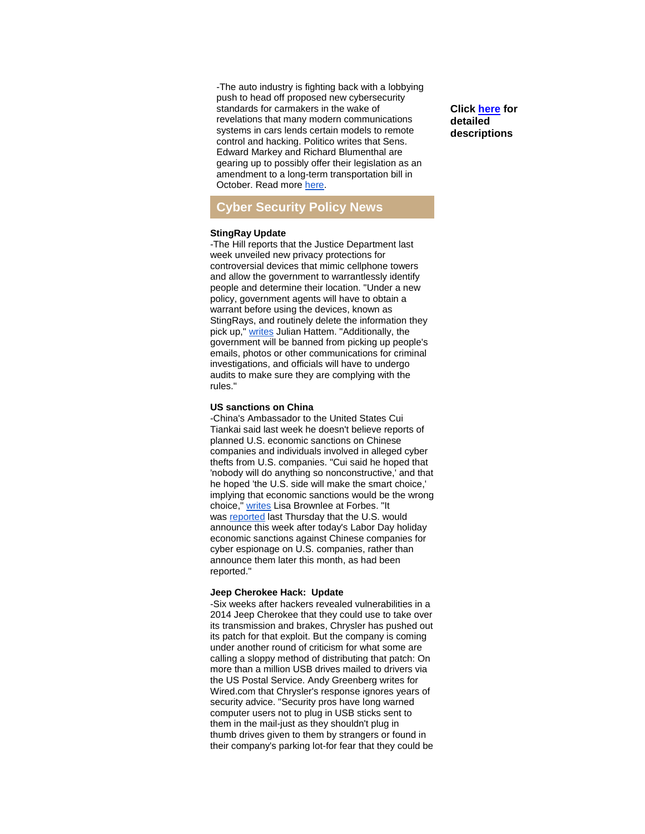-The auto industry is fighting back with a lobbying push to head off proposed new cybersecurity standards for carmakers in the wake of revelations that many modern communications systems in cars lends certain models to remote control and hacking. Politico writes that Sens. Edward Markey and Richard Blumenthal are gearing up to possibly offer their legislation as an amendment to a long-term transportation bill in October. Read more [here.](http://r20.rs6.net/tn.jsp?e=0013X7msTXQAD1-mV4l_BKKchfhfFDuDIlSZJpd4Djplr72pjf1hec7gvg76B3XatIsLR5z91Fxu3LGuuHeJRyrsVFpHtaaTIGNSZw3fzLWcFW828yAMc5cdOosaQYct7hRsZ0BA1ssF8UkvDdauv0WcgqY0iNthnk5QywpKWNUv9X5bglCbnJOKhdBVpt6gIR_NdXYXitHn_T68O8lVkqU3vR-spPL0C-OiH-HinbPjt_TTBkfrIVpaw==)

# **Cyber Security Policy News**

#### **StingRay Update**

-The Hill reports that the Justice Department last week unveiled new privacy protections for controversial devices that mimic cellphone towers and allow the government to warrantlessly identify people and determine their location. "Under a new policy, government agents will have to obtain a warrant before using the devices, known as StingRays, and routinely delete the information they pick up," [writes](http://r20.rs6.net/tn.jsp?e=0013X7msTXQAD1-mV4l_BKKchfhfFDuDIlSZJpd4Djplr72pjf1hec7gvg76B3XatIs6oV6FwJlFZrJhdNwl-SQh7sLBRfNUhU8nNVlrUr696YsrNP4PLOJhOyLTre65uJK-7MvTNxtJenhtMWaUsi3nrulHL5PQm_p_6v4yIdcnimMALBvqNVjUK6cSDaDIA3EwBaPf5vOiQGsqProAZ5DUQ==) Julian Hattem. "Additionally, the government will be banned from picking up people's emails, photos or other communications for criminal investigations, and officials will have to undergo audits to make sure they are complying with the rules."

#### **US sanctions on China**

-China's Ambassador to the United States Cui Tiankai said last week he doesn't believe reports of planned U.S. economic sanctions on Chinese companies and individuals involved in alleged cyber thefts from U.S. companies. "Cui said he hoped that 'nobody will do anything so nonconstructive,' and that he hoped 'the U.S. side will make the smart choice,' implying that economic sanctions would be the wrong choice," [writes](http://r20.rs6.net/tn.jsp?e=0013X7msTXQAD1-mV4l_BKKchfhfFDuDIlSZJpd4Djplr72pjf1hec7gvg76B3XatIs6oV6FwJlFZorhDIbXEGDtIwLjJrAibsCtb3ujFhb2qDUGZ1reSvKtMA241na2zO7m-hbdRkoRx9KlIWCDQxntnp5DWC9s_Zs2vvWrXkjYg3Ug0Fss6WUxVdOr44owXZc9eND_BR6Jh3W0bwmweXEQlMKo6m9TsFNsxSPTbf5b87aWH-Cj6txOJZJROmdo0trv8NbtNv_11AQOp5FU2hObQ==) Lisa Brownlee at Forbes. "It was [reported](http://r20.rs6.net/tn.jsp?e=0013X7msTXQAD1-mV4l_BKKchfhfFDuDIlSZJpd4Djplr72pjf1hec7gvg76B3XatIs6oV6FwJlFZorhDIbXEGDtIwLjJrAibsCtb3ujFhb2qDUGZ1reSvKtMA241na2zO7m-hbdRkoRx_NfoI3F2LTqFY23_plKNJQw2yH4_rpBWABcklMQWcE2KGSQGSOF9CfKTIvYFpWse8lxZcCza4YopefmlJnmfNMynDSz8yEgtfZfSBvox9U8A==) last Thursday that the U.S. would announce this week after today's Labor Day holiday economic sanctions against Chinese companies for cyber espionage on U.S. companies, rather than announce them later this month, as had been reported."

#### **Jeep Cherokee Hack: Update**

-Six weeks after hackers revealed vulnerabilities in a 2014 Jeep Cherokee that they could use to take over its transmission and brakes, Chrysler has pushed out its patch for that exploit. But the company is coming under another round of criticism for what some are calling a sloppy method of distributing that patch: On more than a million USB drives mailed to drivers via the US Postal Service. Andy Greenberg writes for Wired.com that Chrysler's response ignores years of security advice. "Security pros have long warned computer users not to plug in USB sticks sent to them in the mail-just as they shouldn't plug in thumb drives given to them by strangers or found in their company's parking lot-for fear that they could be

**Click [here](http://r20.rs6.net/tn.jsp?e=0013X7msTXQAD1-mV4l_BKKchfhfFDuDIlSZJpd4Djplr72pjf1hec7gvg76B3XatIs6oV6FwJlFZruQJQhz1-RJORL_a2H2UfLxcaaaG_a5BYeRGiQV3kfDwshO1YhbXkMtZu9b9SskJO1wjfHp2Jjxg==) for detailed descriptions**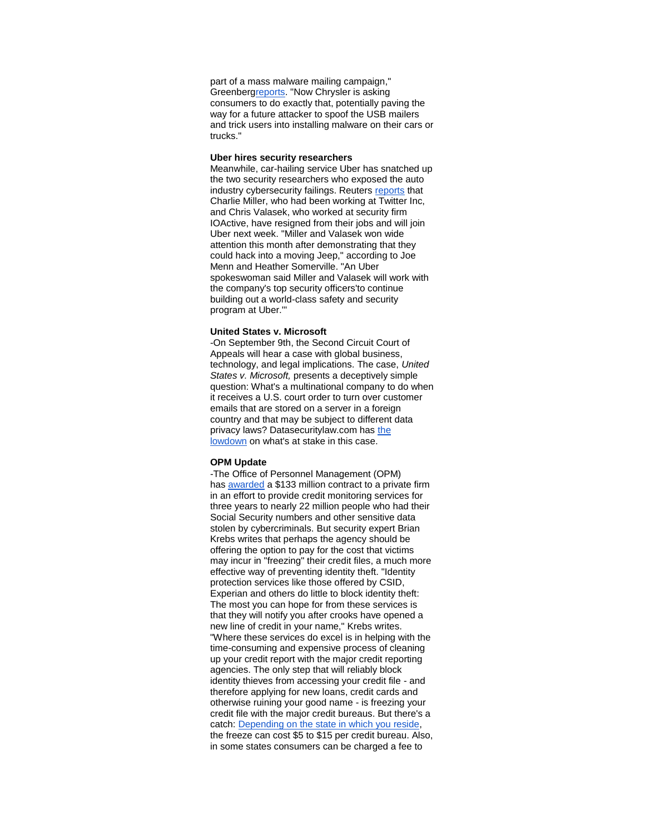part of a mass malware mailing campaign," Greenber[greports.](http://r20.rs6.net/tn.jsp?e=0013X7msTXQAD1-mV4l_BKKchfhfFDuDIlSZJpd4Djplr72pjf1hec7gvg76B3XatIs6oV6FwJlFZpKY0eK2B-sQK8Mme1Z-Mpo8YVvIq-WgVUKSBH99yt0o2IQnTLL0Efse0fRwKSeo-W_V_abjWmchpLnVGOZ23jDK7_BF68W8_qc6bcgYFWMQ1eLcvINzPe_) "Now Chrysler is asking consumers to do exactly that, potentially paving the way for a future attacker to spoof the USB mailers and trick users into installing malware on their cars or trucks."

#### **Uber hires security researchers**

Meanwhile, car-hailing service Uber has snatched up the two security researchers who exposed the auto industry cybersecurity failings. Reuters [reports](http://r20.rs6.net/tn.jsp?e=0013X7msTXQAD1-mV4l_BKKchfhfFDuDIlSZJpd4Djplr72pjf1hec7gvg76B3XatIs6oV6FwJlFZoRtJtyHD9hpu8e83fEIeafmHTkZgawA-7lxNbNNigRJ8GHMpp2UsfNe6NgLHp9aQaPfnKq16C4VPKNNdTS1CC5QI81xsTnjUZtlHZmrOsQxAm0SS6u88emGYGDC8L4JKc=) that Charlie Miller, who had been working at Twitter Inc, and Chris Valasek, who worked at security firm IOActive, have resigned from their jobs and will join Uber next week. "Miller and Valasek won wide attention this month after demonstrating that they could hack into a moving Jeep," according to Joe Menn and Heather Somerville. "An Uber spokeswoman said Miller and Valasek will work with the company's top security officers'to continue building out a world-class safety and security program at Uber.'"

#### **United States v. Microsoft**

-On September 9th, the Second Circuit Court of Appeals will hear a case with global business, technology, and legal implications. The case, *United States v. Microsoft,* presents a deceptively simple question: What's a multinational company to do when it receives a U.S. court order to turn over customer emails that are stored on a server in a foreign country and that may be subject to different data privacy laws? Datasecuritylaw.com has the [lowdown](http://r20.rs6.net/tn.jsp?e=0013X7msTXQAD1-mV4l_BKKchfhfFDuDIlSZJpd4Djplr72pjf1hec7gvg76B3XatIs6oV6FwJlFZqGbRgjJzvBZ7jPhgUlWBPPRwF5J4ApMgZvMn0tbwkBCqPNWXkHFRp4eqfs1GPlM7Jw46i6Ug5DRjAUHIE0NYX7K5XAG0FRwZ13N_OgbDTy5X0q0RZPEPT4255OhHzF8GcNeOTg7YJrTwM66pMVhxH-37q2vZxBXCBMN7dYeLmqvBa-sFqX5vG2) on what's at stake in this case.

#### **OPM Update**

-The Office of Personnel Management (OPM) has [awarded](http://r20.rs6.net/tn.jsp?e=0013X7msTXQAD1-mV4l_BKKchfhfFDuDIlSZJpd4Djplr72pjf1hec7gvg76B3XatIs6oV6FwJlFZocOstfHasZ6h-9gp89hwhRS6KSQlUimYmyOYlQqZYUdvm9qZ9ThfXKf5XAacTXFrEYJlEK2bWYpUDzx3y2PRiY) a \$133 million contract to a private firm in an effort to provide credit monitoring services for three years to nearly 22 million people who had their Social Security numbers and other sensitive data stolen by cybercriminals. But security expert Brian Krebs writes that perhaps the agency should be offering the option to pay for the cost that victims may incur in "freezing" their credit files, a much more effective way of preventing identity theft. "Identity protection services like those offered by CSID, Experian and others do little to block identity theft: The most you can hope for from these services is that they will notify you after crooks have opened a new line of credit in your name," Krebs writes. "Where these services do excel is in helping with the time-consuming and expensive process of cleaning up your credit report with the major credit reporting agencies. The only step that will reliably block identity thieves from accessing your credit file - and therefore applying for new loans, credit cards and otherwise ruining your good name - is freezing your credit file with the major credit bureaus. But there's a catch: [Depending on the state in which you reside,](http://r20.rs6.net/tn.jsp?e=0013X7msTXQAD1-mV4l_BKKchfhfFDuDIlSZJpd4Djplr72pjf1hec7gvg76B3XatIsLR5z91Fxu3KIOOBFrKNp-vT-bpNSRJHtsKIVeHqg8ZdWAa4-_WBdua_KM4hV_2oghOAIn5LagVErIS20SN_c-1W8njE_eNVazMwJuUki7gcf7JH0HyvnaeLgFyZ7fo_FyTlIbUyt80NIzfGzGeF6rg==) the freeze can cost \$5 to \$15 per credit bureau. Also, in some states consumers can be charged a fee to